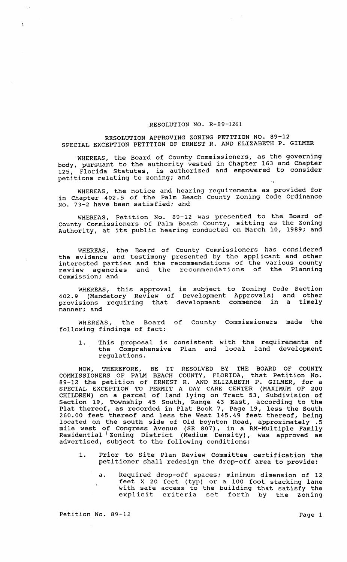## RESOLUTION NO. R-89-1261

## RESOLUTION APPROVING ZONING PETITION NO. 89-12 SPECIAL EXCEPTION PETITION OF ERNEST R. AND ELIZABETH P. GILMER

WHEREAS, the Board of County Commissioners, as the governing body, pursuant to the authority vested in chapter 163 and Chapter 125, Florida Statutes, is authorized and empowered to consider petitions relating to zoning; and

WHEREAS, the notice and hearing requirements as provided for in Chapter 402.5 of the Palm Beach County zoning Code Ordinance No. 73-2 have been satisfied; and

WHEREAS, Petition No. 89-12 was presented to the Board of County Commissioners of Palm Beach County, sitting as the Zoning Authority, at its public hearing conducted on March 10, 1989; and

WHEREAS, the Board of County Commissioners has considered the evidence and testimony presented by the applicant and other interested parties and the recommendations of the various county review agencies and the recommendations of the Planning Commission; and

WHEREAS, this approval is subject to Zoning Code Section 402.9 (Mandatory Review of Development Approvals) and other provisions requiring that development commence in a timely manner; and

WHEREAS, the Board of County Commissioners made the following findings of fact:

1. This proposal is consistent with the requirements of the Comprehensive Plan and local land development regulations.

NOW, THEREFORE, BE IT RESOLVED BY THE BOARD OF COUNTY COMMISSIONERS OF PALM BEACH COUNTY, FLORIDA, that Petition No. 89-12 the petition of ERNEST R. AND ELIZABETH P. GILMER, for a SPECIAL EXCEPTION TO PERMIT A DAY CARE CENTER (MAXIMUM OF 200 CHILDREN) on a parcel of land lying on Tract 53, Subdivision of section 19, Township 45 South, Range 43 East, according to the Plat thereof, as recorded in Plat Book 7, Page 19, less the South 260.00 feet thereof and less the West 145.49 feet thereof, being located on the south side of Old boynton Road, approximately .5 mile west of Congress Avenue (SR 807), in a RM-Multiple Family mais weet of congress from the correct of the far martific ruming Residential Zoning District (Medium Density), was approved as advertised, subject to the following conditions:

- 1. Prior to site Plan Review Committee certification the petitioner shall redesign the drop-off area to provide:
	- a. Required drop-off spaces; minimum dimension of 12 feet X 20 feet (typ) or a 100 foot stacking lane with safe access to the building that satisfy the with sale access to the building that satisfy the<br>explicit criteria set forth by the Zoning

 $\mathbf{t}$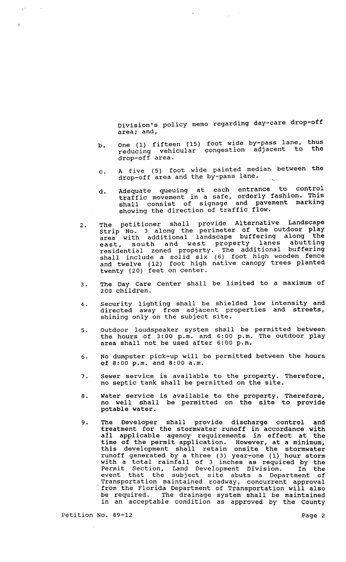Division's policy memo regarding day-care drop-off area; and,

- b. One (1) fifteen (15) foot wide by-pass lane, thus reducing vehicular congestion adjacent to the drop-off area.
- c. A five (5) foot wide painted median between the  $\frac{1}{100}$  of  $\frac{1}{100}$  area and the by-pass lane.
- d. Adequate queuing at each entrance to control traffic movement in a safe, orderly fashion. This shall consist of signage and pavement marking showing the direction of traffic flow.
- 2. The petitioner shall provide Alternative Landscape strip No. 3 along the perimeter of the outdoor play area with additional landscape buffering along the area with additional fandscape buffering drong the residential zoned property. The additional buffering shall include a solid six (6) foot high wooden fence and twelve (12) foot high native canopy trees planted twenty (20) feet on center.
- 3. The Day Care Center shall be limited to a maximum of 200 children.
- 4. security lighting shall be shielded low intensity and directed away from adjacent properties and streets, shining only on the subject site.
- 5. outdoor loudspeaker system shall be permitted between the hours of 3:00 p.m. and 6:00 p.m. The outdoor play area shall not be used after 6:00 p.m.
- 6. No dumpster pick-up will be permitted between the hours of 8:00 p.m. and 8:00 a.m.
- 7. Sewer service is available to the property. Therefore, no septic tank shall be permitted on the site.
- 8. water service is available to the property. Therefore, no well shall be permitted on the site to provide potable water.
- 9. The Developer shall provide discharge control and treatment for the stormwater runoff in accordance with all applicable agency requirements in effect at the time of the permit application. However, at a minimum, this development shall retain onsite the stormwater runoff generated by a three (3) year~one (1) hour storm rancif generated by a chief (3) year one (1) hour storm Permit section, Land Development Division. In the event that the subject site abuts a Department of . Transportation maintained roadway, concurrent approval from the Florida Department of Transportation will also be required. The drainage system shall be maintained in an acceptable condition as approved by the County

 $\mathbf{t}$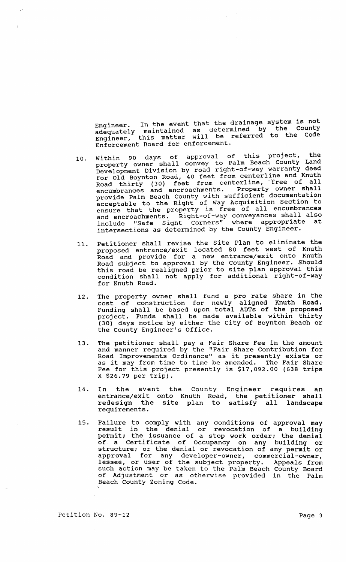Engineer. In the event that the drainage system is not Engineer: In the count as determined by the County adequately mainculica as accommended to the Code Enforcement Board for enforcement.

- 10. Within 90 days of approval of this project, the property owner shall convey to Palm Beach County Land Development Division by road right-of-way warranty deed for Old Boynton Road, 40 feet from centerline and Knuth Road thirty (30) feet from centerline, "Iree of all encumbrances and encroachments. Property owner shall provide Palm Beach County with sufficient documentation acceptable to the Right of Way Acquisition section to ensure that the property is free of all encumbrances and encroachments. Right-of-way conveyances shall also include "Safe Sight Corners" where appropriate at intersections as determined by the County Engineer.
- 11. Petitioner shall revise the site Plan to eliminate the proposed entrance/exit located 80 feet west of Knuth Road and provide for a new entrance/exit onto Knuth Road subject to approval by the County Engineer. Should this road be realigned prior to site plan approval this condition shall not apply for additional right-of-way for Knuth Road.
- 12. The property owner shall fund a pro rate share in the cost of construction for newly aligned Knuth Road. Funding shall be based upon total ADTs of the proposed project. Funds shall be made available within thirty (30) days notice by either the City of Boynton Beach or the County Engineer's Office.
- 13. The petitioner shall pay a Fair Share Fee in the amount and manner required by the "Fair Share contribution for and manner required by the "Fair Share Contribution for<br>Road Improvements Ordinance" as it presently exists or Road Improvements Ordinance" as it presently exists or<br>as it may from time to time be amended. The Fair Share Fee for this project presently is \$17,092.00 (638 trips X \$26.79 per trip).
- 14. In the event the County Engineer requires an entrance/exit onto Knuth Road, the petitioner shall<br>redesign the site plan to satisfy all landscape redesign the site plan to satisfy all requirements.
- 15. Failure to comply with any conditions of approval may result in the denial or revocation of a building permit; the issuance of a stop work order; the denial of a Certificate of Occupancy on any building or structure; or the denial or revocation of any permit or approval for any developer-owner, commercial-owner dessee, or user of the subject property. Appeals from<br>such action may be taken to the Palm Beach County Board of AdJustment or as otherwise provided in the Palm Beach County Zoning Code.

Petition No. 89-12 Page 3